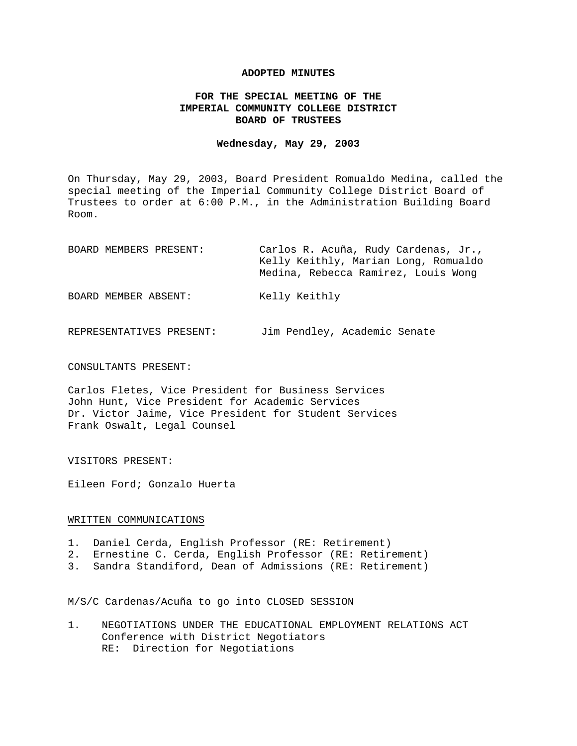### **ADOPTED MINUTES**

# **FOR THE SPECIAL MEETING OF THE IMPERIAL COMMUNITY COLLEGE DISTRICT BOARD OF TRUSTEES**

### **Wednesday, May 29, 2003**

On Thursday, May 29, 2003, Board President Romualdo Medina, called the special meeting of the Imperial Community College District Board of Trustees to order at 6:00 P.M., in the Administration Building Board Room.

| BOARD MEMBERS PRESENT: | Carlos R. Acuña, Rudy Cardenas, Jr.,<br>Kelly Keithly, Marian Long, Romualdo<br>Medina, Rebecca Ramirez, Louis Wong |
|------------------------|---------------------------------------------------------------------------------------------------------------------|
| BOARD MEMBER ABSENT:   | Kelly Keithly                                                                                                       |

REPRESENTATIVES PRESENT: Jim Pendley, Academic Senate

# CONSULTANTS PRESENT:

Carlos Fletes, Vice President for Business Services John Hunt, Vice President for Academic Services Dr. Victor Jaime, Vice President for Student Services Frank Oswalt, Legal Counsel

### VISITORS PRESENT:

Eileen Ford; Gonzalo Huerta

#### WRITTEN COMMUNICATIONS

- 1. Daniel Cerda, English Professor (RE: Retirement)
- 2. Ernestine C. Cerda, English Professor (RE: Retirement)
- 3. Sandra Standiford, Dean of Admissions (RE: Retirement)

M/S/C Cardenas/Acuña to go into CLOSED SESSION

1. NEGOTIATIONS UNDER THE EDUCATIONAL EMPLOYMENT RELATIONS ACT Conference with District Negotiators RE: Direction for Negotiations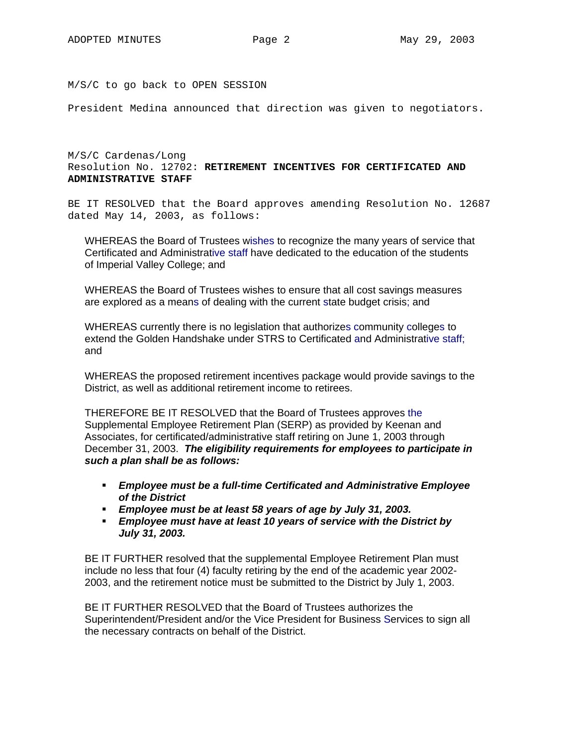M/S/C to go back to OPEN SESSION

President Medina announced that direction was given to negotiators.

M/S/C Cardenas/Long Resolution No. 12702: **RETIREMENT INCENTIVES FOR CERTIFICATED AND ADMINISTRATIVE STAFF**

BE IT RESOLVED that the Board approves amending Resolution No. 12687 dated May 14, 2003, as follows:

WHEREAS the Board of Trustees wishes to recognize the many years of service that Certificated and Administrative staff have dedicated to the education of the students of Imperial Valley College; and

WHEREAS the Board of Trustees wishes to ensure that all cost savings measures are explored as a means of dealing with the current state budget crisis; and

WHEREAS currently there is no legislation that authorizes community colleges to extend the Golden Handshake under STRS to Certificated and Administrative staff; and

WHEREAS the proposed retirement incentives package would provide savings to the District, as well as additional retirement income to retirees.

THEREFORE BE IT RESOLVED that the Board of Trustees approves the Supplemental Employee Retirement Plan (SERP) as provided by Keenan and Associates, for certificated/administrative staff retiring on June 1, 2003 through December 31, 2003. *The eligibility requirements for employees to participate in such a plan shall be as follows:* 

- *Employee must be a full-time Certificated and Administrative Employee of the District*
- *Employee must be at least 58 years of age by July 31, 2003.*
- *Employee must have at least 10 years of service with the District by July 31, 2003.*

BE IT FURTHER resolved that the supplemental Employee Retirement Plan must include no less that four (4) faculty retiring by the end of the academic year 2002- 2003, and the retirement notice must be submitted to the District by July 1, 2003.

BE IT FURTHER RESOLVED that the Board of Trustees authorizes the Superintendent/President and/or the Vice President for Business Services to sign all the necessary contracts on behalf of the District.